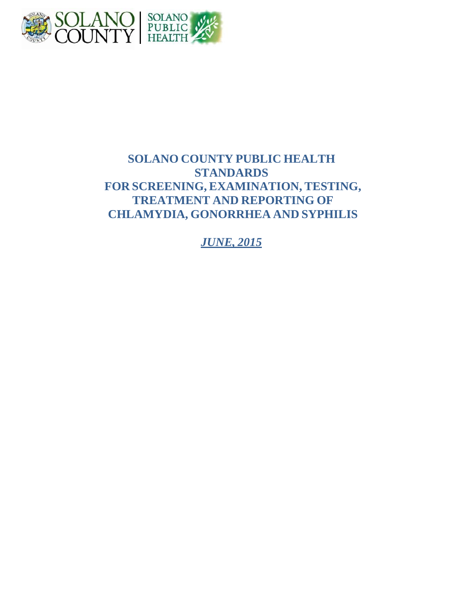

# **SOLANO COUNTY PUBLIC HEALTH STANDARDS FOR SCREENING, EXAMINATION, TESTING, TREATMENT AND REPORTING OF CHLAMYDIA, GONORRHEA AND SYPHILIS**

*JUNE, 2015*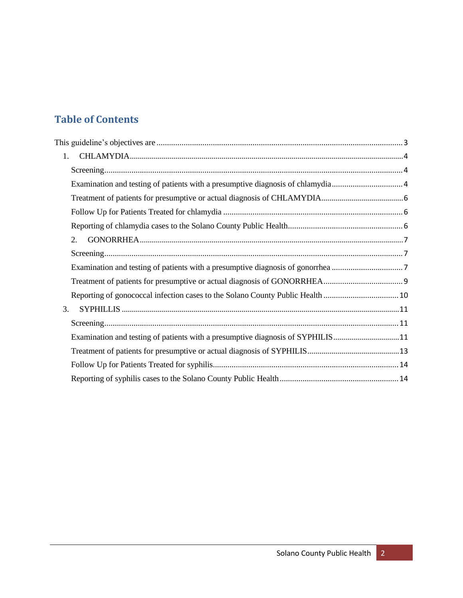# **Table of Contents**

| $1_{\cdot}$ |                                                                                |  |
|-------------|--------------------------------------------------------------------------------|--|
|             |                                                                                |  |
|             |                                                                                |  |
|             |                                                                                |  |
|             |                                                                                |  |
|             |                                                                                |  |
| 2.          |                                                                                |  |
|             |                                                                                |  |
|             |                                                                                |  |
|             |                                                                                |  |
|             |                                                                                |  |
| 3.          |                                                                                |  |
|             |                                                                                |  |
|             | Examination and testing of patients with a presumptive diagnosis of SYPHILIS11 |  |
|             |                                                                                |  |
|             |                                                                                |  |
|             |                                                                                |  |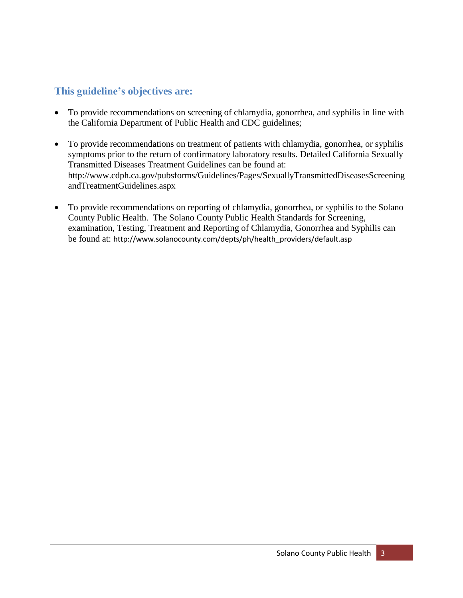# <span id="page-2-0"></span>**This guideline's objectives are:**

- To provide recommendations on screening of chlamydia, gonorrhea, and syphilis in line with the California Department of Public Health and CDC guidelines;
- To provide recommendations on treatment of patients with chlamydia, gonorrhea, or syphilis symptoms prior to the return of confirmatory laboratory results. Detailed California Sexually Transmitted Diseases Treatment Guidelines can be found at[:](http://www.cdph.ca.gov/pubsforms/Guidelines/Pages/SexuallyTransmittedDiseasesScreeningandTreatmentGuidelines.aspx) [http://www.cdph.ca.gov/pubsforms/Guidelines/Pages/SexuallyTransmittedDiseasesScreening](http://www.cdph.ca.gov/pubsforms/Guidelines/Pages/SexuallyTransmittedDiseasesScreeningandTreatmentGuidelines.aspx) [andTreatmentGuidelines.aspx](http://www.cdph.ca.gov/pubsforms/Guidelines/Pages/SexuallyTransmittedDiseasesScreeningandTreatmentGuidelines.aspx)
- To provide recommendations on reporting of chlamydia, gonorrhea, or syphilis to the Solano County Public Health. The Solano County Public Health Standards for Screening, examination, Testing, Treatment and Reporting of Chlamydia, Gonorrhea and Syphilis can be found at: [http://www.solanocounty.com/depts/ph/health\\_providers/default.asp](http://www.solanocounty.com/depts/ph/health_providers/default.asp)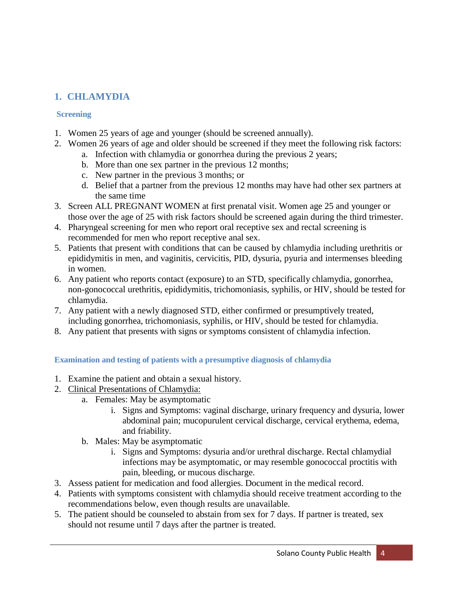# <span id="page-3-0"></span>**1. CHLAMYDIA**

### <span id="page-3-1"></span>**Screening**

- 1. Women 25 years of age and younger (should be screened annually).
- 2. Women 26 years of age and older should be screened if they meet the following risk factors:
	- a. Infection with chlamydia or gonorrhea during the previous 2 years;
	- b. More than one sex partner in the previous 12 months;
	- c. New partner in the previous 3 months; or
	- d. Belief that a partner from the previous 12 months may have had other sex partners at the same time
- 3. Screen ALL PREGNANT WOMEN at first prenatal visit. Women age 25 and younger or those over the age of 25 with risk factors should be screened again during the third trimester.
- 4. Pharyngeal screening for men who report oral receptive sex and rectal screening is recommended for men who report receptive anal sex.
- 5. Patients that present with conditions that can be caused by chlamydia including urethritis or epididymitis in men, and vaginitis, cervicitis, PID, dysuria, pyuria and intermenses bleeding in women.
- 6. Any patient who reports contact (exposure) to an STD, specifically chlamydia, gonorrhea, non-gonococcal urethritis, epididymitis, trichomoniasis, syphilis, or HIV, should be tested for chlamydia.
- 7. Any patient with a newly diagnosed STD, either confirmed or presumptively treated, including gonorrhea, trichomoniasis, syphilis, or HIV, should be tested for chlamydia.
- 8. Any patient that presents with signs or symptoms consistent of chlamydia infection.

## <span id="page-3-2"></span>**Examination and testing of patients with a presumptive diagnosis of chlamydia**

- 1. Examine the patient and obtain a sexual history.
- 2. Clinical Presentations of Chlamydia:
	- a. Females: May be asymptomatic
		- i. Signs and Symptoms: vaginal discharge, urinary frequency and dysuria, lower abdominal pain; mucopurulent cervical discharge, cervical erythema, edema, and friability.
	- b. Males: May be asymptomatic
		- i. Signs and Symptoms: dysuria and/or urethral discharge. Rectal chlamydial infections may be asymptomatic, or may resemble gonococcal proctitis with pain, bleeding, or mucous discharge.
- 3. Assess patient for medication and food allergies. Document in the medical record.
- 4. Patients with symptoms consistent with chlamydia should receive treatment according to the recommendations below, even though results are unavailable.
- 5. The patient should be counseled to abstain from sex for 7 days. If partner is treated, sex should not resume until 7 days after the partner is treated.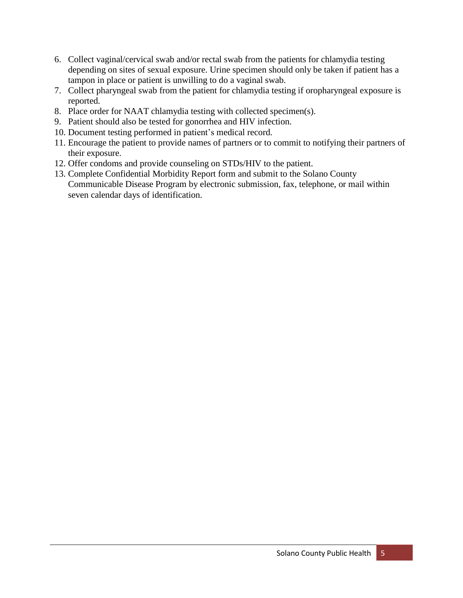- 6. Collect vaginal/cervical swab and/or rectal swab from the patients for chlamydia testing depending on sites of sexual exposure. Urine specimen should only be taken if patient has a tampon in place or patient is unwilling to do a vaginal swab.
- 7. Collect pharyngeal swab from the patient for chlamydia testing if oropharyngeal exposure is reported.
- 8. Place order for NAAT chlamydia testing with collected specimen(s).
- 9. Patient should also be tested for gonorrhea and HIV infection.
- 10. Document testing performed in patient's medical record.
- 11. Encourage the patient to provide names of partners or to commit to notifying their partners of their exposure.
- 12. Offer condoms and provide counseling on STDs/HIV to the patient.
- 13. Complete Confidential Morbidity Report form and submit to the Solano County Communicable Disease Program by electronic submission, fax, telephone, or mail within seven calendar days of identification.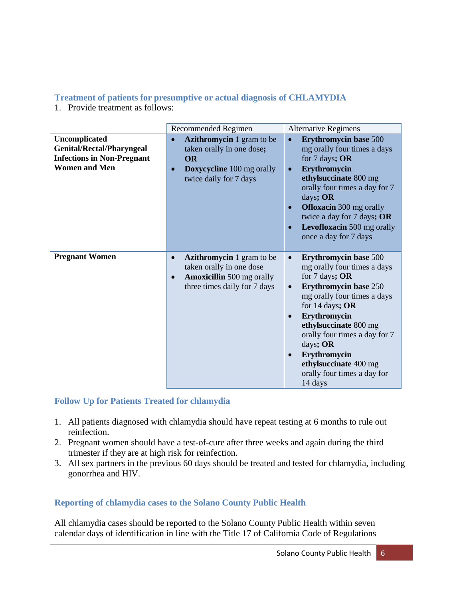#### <span id="page-5-0"></span>**Treatment of patients for presumptive or actual diagnosis of CHLAMYDIA**

1. Provide treatment as follows:

|                                                                                                                | Recommended Regimen                                                                                                                                        | <b>Alternative Regimens</b>                                                                                                                                                                                                                                                                                                                                          |
|----------------------------------------------------------------------------------------------------------------|------------------------------------------------------------------------------------------------------------------------------------------------------------|----------------------------------------------------------------------------------------------------------------------------------------------------------------------------------------------------------------------------------------------------------------------------------------------------------------------------------------------------------------------|
| Uncomplicated<br><b>Genital/Rectal/Pharyngeal</b><br><b>Infections in Non-Pregnant</b><br><b>Women and Men</b> | Azithromycin 1 gram to be<br>taken orally in one dose;<br><b>OR</b><br><b>Doxycycline</b> 100 mg orally<br>$\bullet$<br>twice daily for 7 days             | <b>Erythromycin base 500</b><br>mg orally four times a days<br>for 7 days; OR<br>Erythromycin<br>$\bullet$<br>ethylsuccinate 800 mg<br>orally four times a day for 7<br>days; OR<br><b>Ofloxacin</b> 300 mg orally<br>twice a day for 7 days; OR<br>Levofloxacin 500 mg orally<br>once a day for 7 days                                                              |
| <b>Pregnant Women</b>                                                                                          | <b>Azithromycin</b> 1 gram to be<br>$\bullet$<br>taken orally in one dose<br><b>Amoxicillin</b> 500 mg orally<br>$\bullet$<br>three times daily for 7 days | <b>Erythromycin base 500</b><br>$\bullet$<br>mg orally four times a days<br>for $7$ days; OR<br><b>Erythromycin base 250</b><br>$\bullet$<br>mg orally four times a days<br>for 14 days; OR<br>Erythromycin<br>ethylsuccinate 800 mg<br>orally four times a day for 7<br>days; OR<br>Erythromycin<br>ethylsuccinate 400 mg<br>orally four times a day for<br>14 days |

## <span id="page-5-1"></span>**Follow Up for Patients Treated for chlamydia**

- 1. All patients diagnosed with chlamydia should have repeat testing at 6 months to rule out reinfection.
- 2. Pregnant women should have a test-of-cure after three weeks and again during the third trimester if they are at high risk for reinfection.
- 3. All sex partners in the previous 60 days should be treated and tested for chlamydia, including gonorrhea and HIV.

## <span id="page-5-2"></span>**Reporting of chlamydia cases to the Solano County Public Health**

All chlamydia cases should be reported to the Solano County Public Health within seven calendar days of identification in line with the Title 17 of California Code of Regulations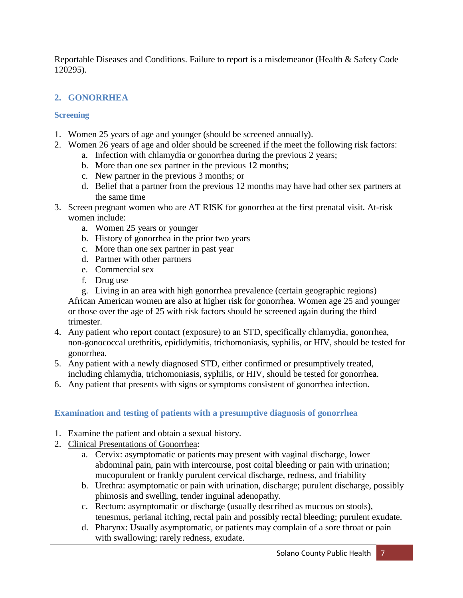Reportable Diseases and Conditions. Failure to report is a misdemeanor (Health & Safety Code 120295).

## <span id="page-6-0"></span>**2. GONORRHEA**

## <span id="page-6-1"></span>**Screening**

- 1. Women 25 years of age and younger (should be screened annually).
- 2. Women 26 years of age and older should be screened if the meet the following risk factors:
	- a. Infection with chlamydia or gonorrhea during the previous 2 years;
	- b. More than one sex partner in the previous 12 months;
	- c. New partner in the previous 3 months; or
	- d. Belief that a partner from the previous 12 months may have had other sex partners at the same time
- 3. Screen pregnant women who are AT RISK for gonorrhea at the first prenatal visit. At-risk women include:
	- a. Women 25 years or younger
	- b. History of gonorrhea in the prior two years
	- c. More than one sex partner in past year
	- d. Partner with other partners
	- e. Commercial sex
	- f. Drug use

g. Living in an area with high gonorrhea prevalence (certain geographic regions) African American women are also at higher risk for gonorrhea. Women age 25 and younger or those over the age of 25 with risk factors should be screened again during the third trimester.

- 4. Any patient who report contact (exposure) to an STD, specifically chlamydia, gonorrhea, non-gonococcal urethritis, epididymitis, trichomoniasis, syphilis, or HIV, should be tested for gonorrhea.
- 5. Any patient with a newly diagnosed STD, either confirmed or presumptively treated, including chlamydia, trichomoniasis, syphilis, or HIV, should be tested for gonorrhea.
- 6. Any patient that presents with signs or symptoms consistent of gonorrhea infection.

# <span id="page-6-2"></span>**Examination and testing of patients with a presumptive diagnosis of gonorrhea**

- 1. Examine the patient and obtain a sexual history.
- 2. Clinical Presentations of Gonorrhea:
	- a. Cervix: asymptomatic or patients may present with vaginal discharge, lower abdominal pain, pain with intercourse, post coital bleeding or pain with urination; mucopurulent or frankly purulent cervical discharge, redness, and friability
	- b. Urethra: asymptomatic or pain with urination, discharge; purulent discharge, possibly phimosis and swelling, tender inguinal adenopathy.
	- c. Rectum: asymptomatic or discharge (usually described as mucous on stools), tenesmus, perianal itching, rectal pain and possibly rectal bleeding; purulent exudate.
	- d. Pharynx: Usually asymptomatic, or patients may complain of a sore throat or pain with swallowing; rarely redness, exudate.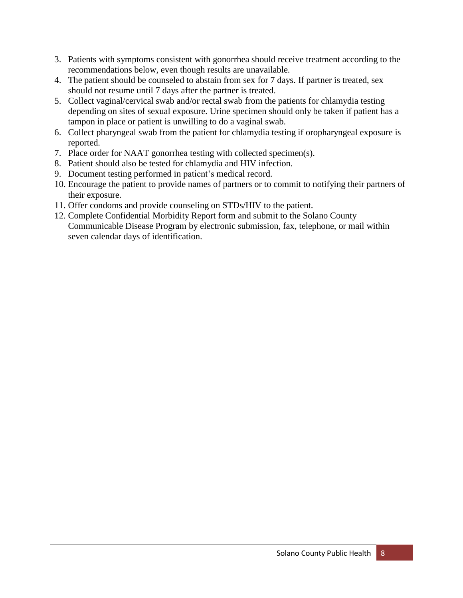- 3. Patients with symptoms consistent with gonorrhea should receive treatment according to the recommendations below, even though results are unavailable.
- 4. The patient should be counseled to abstain from sex for 7 days. If partner is treated, sex should not resume until 7 days after the partner is treated.
- 5. Collect vaginal/cervical swab and/or rectal swab from the patients for chlamydia testing depending on sites of sexual exposure. Urine specimen should only be taken if patient has a tampon in place or patient is unwilling to do a vaginal swab.
- 6. Collect pharyngeal swab from the patient for chlamydia testing if oropharyngeal exposure is reported.
- 7. Place order for NAAT gonorrhea testing with collected specimen(s).
- 8. Patient should also be tested for chlamydia and HIV infection.
- 9. Document testing performed in patient's medical record.
- 10. Encourage the patient to provide names of partners or to commit to notifying their partners of their exposure.
- 11. Offer condoms and provide counseling on STDs/HIV to the patient.
- 12. Complete Confidential Morbidity Report form and submit to the Solano County Communicable Disease Program by electronic submission, fax, telephone, or mail within seven calendar days of identification.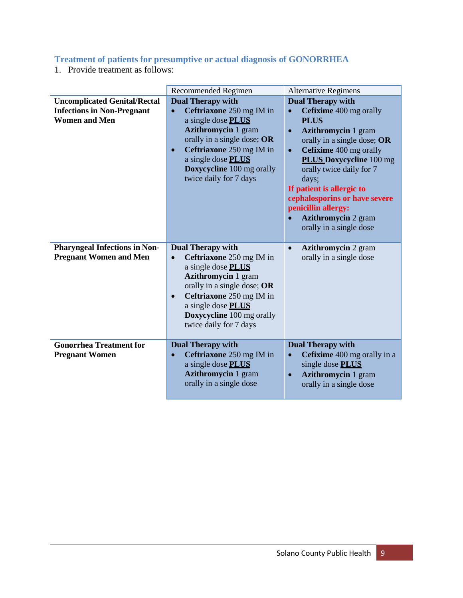# <span id="page-8-0"></span>**Treatment of patients for presumptive or actual diagnosis of GONORRHEA**

1. Provide treatment as follows:

|                                                                                                  | Recommended Regimen                                                                                                                                                                                                                                                                      | <b>Alternative Regimens</b>                                                                                                                                                                                                                                                                                                                                                                                          |
|--------------------------------------------------------------------------------------------------|------------------------------------------------------------------------------------------------------------------------------------------------------------------------------------------------------------------------------------------------------------------------------------------|----------------------------------------------------------------------------------------------------------------------------------------------------------------------------------------------------------------------------------------------------------------------------------------------------------------------------------------------------------------------------------------------------------------------|
| <b>Uncomplicated Genital/Rectal</b><br><b>Infections in Non-Pregnant</b><br><b>Women and Men</b> | <b>Dual Therapy with</b><br>Ceftriaxone 250 mg IM in<br>$\bullet$<br>a single dose PLUS<br><b>Azithromycin 1 gram</b><br>orally in a single dose; OR<br>Ceftriaxone 250 mg IM in<br>$\bullet$<br>a single dose PLUS<br>Doxycycline 100 mg orally<br>twice daily for 7 days               | <b>Dual Therapy with</b><br>Cefixime 400 mg orally<br>$\bullet$<br><b>PLUS</b><br><b>Azithromycin</b> 1 gram<br>$\bullet$<br>orally in a single dose; OR<br>Cefixime 400 mg orally<br>$\bullet$<br><b>PLUS Doxycycline</b> 100 mg<br>orally twice daily for 7<br>days;<br>If patient is allergic to<br>cephalosporins or have severe<br>penicillin allergy:<br><b>Azithromycin 2 gram</b><br>orally in a single dose |
| <b>Pharyngeal Infections in Non-</b><br><b>Pregnant Women and Men</b>                            | <b>Dual Therapy with</b><br>Ceftriaxone 250 mg IM in<br>$\bullet$<br>a single dose <b>PLUS</b><br><b>Azithromycin 1 gram</b><br>orally in a single dose; OR<br>Ceftriaxone 250 mg IM in<br>$\bullet$<br>a single dose <b>PLUS</b><br>Doxycycline 100 mg orally<br>twice daily for 7 days | <b>Azithromycin</b> 2 gram<br>$\bullet$<br>orally in a single dose                                                                                                                                                                                                                                                                                                                                                   |
| <b>Gonorrhea Treatment for</b><br><b>Pregnant Women</b>                                          | <b>Dual Therapy with</b><br>Ceftriaxone 250 mg IM in<br>$\bullet$<br>a single dose PLUS<br><b>Azithromycin 1 gram</b><br>orally in a single dose                                                                                                                                         | <b>Dual Therapy with</b><br>Cefixime 400 mg orally in a<br>$\bullet$<br>single dose PLUS<br><b>Azithromycin 1 gram</b><br>$\bullet$<br>orally in a single dose                                                                                                                                                                                                                                                       |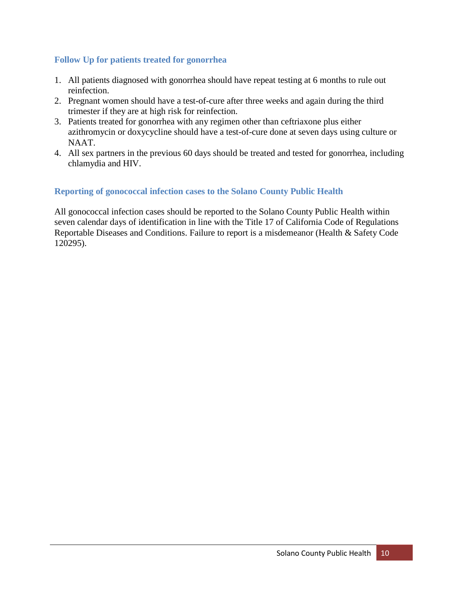#### **Follow Up for patients treated for gonorrhea**

- 1. All patients diagnosed with gonorrhea should have repeat testing at 6 months to rule out reinfection.
- 2. Pregnant women should have a test-of-cure after three weeks and again during the third trimester if they are at high risk for reinfection.
- 3. Patients treated for gonorrhea with any regimen other than ceftriaxone plus either azithromycin or doxycycline should have a test-of-cure done at seven days using culture or NAAT.
- 4. All sex partners in the previous 60 days should be treated and tested for gonorrhea, including chlamydia and HIV.

#### <span id="page-9-0"></span>**Reporting of gonococcal infection cases to the Solano County Public Health**

All gonococcal infection cases should be reported to the Solano County Public Health within seven calendar days of identification in line with the Title 17 of California Code of Regulations Reportable Diseases and Conditions. Failure to report is a misdemeanor (Health & Safety Code 120295).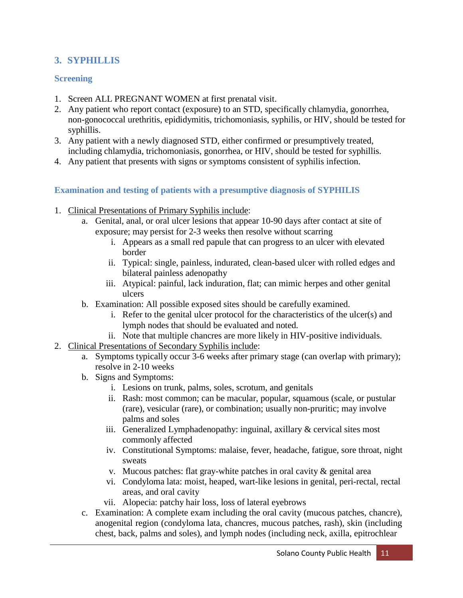# <span id="page-10-0"></span>**3. SYPHILLIS**

#### <span id="page-10-1"></span>**Screening**

- 1. Screen ALL PREGNANT WOMEN at first prenatal visit.
- 2. Any patient who report contact (exposure) to an STD, specifically chlamydia, gonorrhea, non-gonococcal urethritis, epididymitis, trichomoniasis, syphilis, or HIV, should be tested for syphillis.
- 3. Any patient with a newly diagnosed STD, either confirmed or presumptively treated, including chlamydia, trichomoniasis, gonorrhea, or HIV, should be tested for syphillis.
- 4. Any patient that presents with signs or symptoms consistent of syphilis infection.

#### <span id="page-10-2"></span>**Examination and testing of patients with a presumptive diagnosis of SYPHILIS**

- 1. Clinical Presentations of Primary Syphilis include:
	- a. Genital, anal, or oral ulcer lesions that appear 10-90 days after contact at site of exposure; may persist for 2-3 weeks then resolve without scarring
		- i. Appears as a small red papule that can progress to an ulcer with elevated border
		- ii. Typical: single, painless, indurated, clean-based ulcer with rolled edges and bilateral painless adenopathy
		- iii. Atypical: painful, lack induration, flat; can mimic herpes and other genital ulcers
	- b. Examination: All possible exposed sites should be carefully examined.
		- i. Refer to the genital ulcer protocol for the characteristics of the ulcer(s) and lymph nodes that should be evaluated and noted.
		- ii. Note that multiple chancres are more likely in HIV-positive individuals.
- 2. Clinical Presentations of Secondary Syphilis include:
	- a. Symptoms typically occur 3-6 weeks after primary stage (can overlap with primary); resolve in 2-10 weeks
	- b. Signs and Symptoms:
		- i. Lesions on trunk, palms, soles, scrotum, and genitals
		- ii. Rash: most common; can be macular, popular, squamous (scale, or pustular (rare), vesicular (rare), or combination; usually non-pruritic; may involve palms and soles
		- iii. Generalized Lymphadenopathy: inguinal, axillary & cervical sites most commonly affected
		- iv. Constitutional Symptoms: malaise, fever, headache, fatigue, sore throat, night sweats
		- v. Mucous patches: flat gray-white patches in oral cavity  $\&$  genital area
		- vi. Condyloma lata: moist, heaped, wart-like lesions in genital, peri-rectal, rectal areas, and oral cavity
		- vii. Alopecia: patchy hair loss, loss of lateral eyebrows
	- c. Examination: A complete exam including the oral cavity (mucous patches, chancre), anogenital region (condyloma lata, chancres, mucous patches, rash), skin (including chest, back, palms and soles), and lymph nodes (including neck, axilla, epitrochlear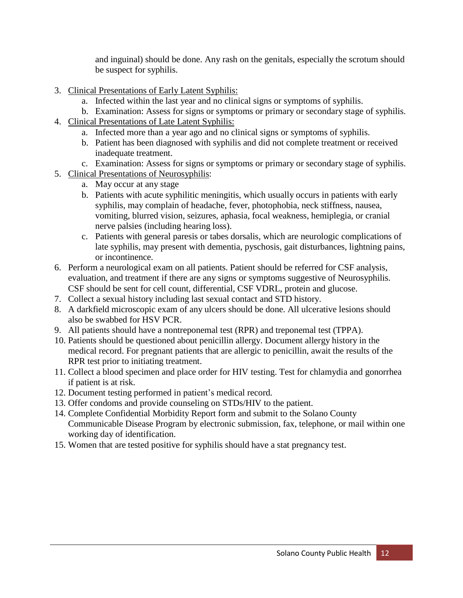and inguinal) should be done. Any rash on the genitals, especially the scrotum should be suspect for syphilis.

- 3. Clinical Presentations of Early Latent Syphilis:
	- a. Infected within the last year and no clinical signs or symptoms of syphilis.
	- b. Examination: Assess for signs or symptoms or primary or secondary stage of syphilis.
- 4. Clinical Presentations of Late Latent Syphilis:
	- a. Infected more than a year ago and no clinical signs or symptoms of syphilis.
	- b. Patient has been diagnosed with syphilis and did not complete treatment or received inadequate treatment.
	- c. Examination: Assess for signs or symptoms or primary or secondary stage of syphilis.
- 5. Clinical Presentations of Neurosyphilis:
	- a. May occur at any stage
	- b. Patients with acute syphilitic meningitis, which usually occurs in patients with early syphilis, may complain of headache, fever, photophobia, neck stiffness, nausea, vomiting, blurred vision, seizures, aphasia, focal weakness, hemiplegia, or cranial nerve palsies (including hearing loss).
	- c. Patients with general paresis or tabes dorsalis, which are neurologic complications of late syphilis, may present with dementia, pyschosis, gait disturbances, lightning pains, or incontinence.
- 6. Perform a neurological exam on all patients. Patient should be referred for CSF analysis, evaluation, and treatment if there are any signs or symptoms suggestive of Neurosyphilis. CSF should be sent for cell count, differential, CSF VDRL, protein and glucose.
- 7. Collect a sexual history including last sexual contact and STD history.
- 8. A darkfield microscopic exam of any ulcers should be done. All ulcerative lesions should also be swabbed for HSV PCR.
- 9. All patients should have a nontreponemal test (RPR) and treponemal test (TPPA).
- 10. Patients should be questioned about penicillin allergy. Document allergy history in the medical record. For pregnant patients that are allergic to penicillin, await the results of the RPR test prior to initiating treatment.
- 11. Collect a blood specimen and place order for HIV testing. Test for chlamydia and gonorrhea if patient is at risk.
- 12. Document testing performed in patient's medical record.
- 13. Offer condoms and provide counseling on STDs/HIV to the patient.
- 14. Complete Confidential Morbidity Report form and submit to the Solano County Communicable Disease Program by electronic submission, fax, telephone, or mail within one working day of identification.
- 15. Women that are tested positive for syphilis should have a stat pregnancy test.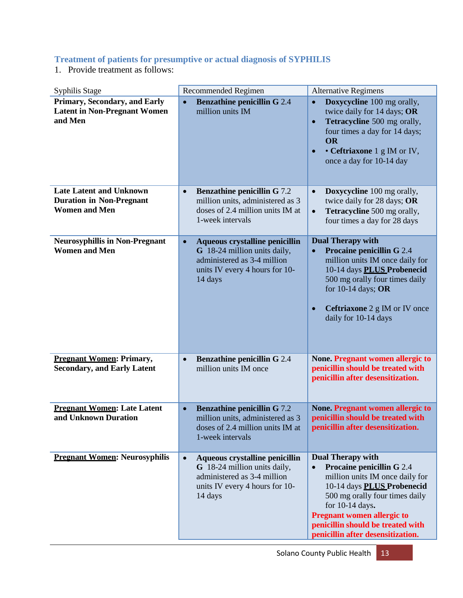#### <span id="page-12-0"></span>**Treatment of patients for presumptive or actual diagnosis of SYPHILIS**

1. Provide treatment as follows:

| Syphilis Stage                                                                            | Recommended Regimen                                                                                                                                     | <b>Alternative Regimens</b>                                                                                                                                                                                                                                                                                    |
|-------------------------------------------------------------------------------------------|---------------------------------------------------------------------------------------------------------------------------------------------------------|----------------------------------------------------------------------------------------------------------------------------------------------------------------------------------------------------------------------------------------------------------------------------------------------------------------|
| <b>Primary, Secondary, and Early</b><br><b>Latent in Non-Pregnant Women</b><br>and Men    | <b>Benzathine penicillin G 2.4</b><br>$\bullet$<br>million units IM                                                                                     | Doxycycline 100 mg orally,<br>$\bullet$<br>twice daily for 14 days; OR<br>Tetracycline 500 mg orally,<br>$\bullet$<br>four times a day for 14 days;<br><b>OR</b><br>• Ceftriaxone 1 g IM or IV,<br>$\bullet$<br>once a day for 10-14 day                                                                       |
| <b>Late Latent and Unknown</b><br><b>Duration in Non-Pregnant</b><br><b>Women and Men</b> | <b>Benzathine penicillin G 7.2</b><br>$\bullet$<br>million units, administered as 3<br>doses of 2.4 million units IM at<br>1-week intervals             | Doxycycline 100 mg orally,<br>$\bullet$<br>twice daily for 28 days; OR<br>Tetracycline 500 mg orally,<br>$\bullet$<br>four times a day for 28 days                                                                                                                                                             |
| <b>Neurosyphillis in Non-Pregnant</b><br><b>Women and Men</b>                             | Aqueous crystalline penicillin<br>$\bullet$<br>G 18-24 million units daily,<br>administered as 3-4 million<br>units IV every 4 hours for 10-<br>14 days | <b>Dual Therapy with</b><br><b>Procaine penicillin G 2.4</b><br>$\bullet$<br>million units IM once daily for<br>10-14 days PLUS Probenecid<br>500 mg orally four times daily<br>for 10-14 days; OR<br><b>Ceftriaxone</b> 2 g IM or IV once<br>daily for 10-14 days                                             |
| <b>Pregnant Women: Primary,</b><br><b>Secondary, and Early Latent</b>                     | <b>Benzathine penicillin G 2.4</b><br>$\bullet$<br>million units IM once                                                                                | <b>None. Pregnant women allergic to</b><br>penicillin should be treated with<br>penicillin after desensitization.                                                                                                                                                                                              |
| <b>Pregnant Women: Late Latent</b><br>and Unknown Duration                                | <b>Benzathine penicillin G 7.2</b><br>$\bullet$<br>million units, administered as 3<br>doses of 2.4 million units IM at<br>1-week intervals             | None. Pregnant women allergic to<br>penicillin should be treated with<br>penicillin after desensitization.                                                                                                                                                                                                     |
| <b>Pregnant Women: Neurosyphilis</b>                                                      | Aqueous crystalline penicillin<br>$\bullet$<br>G 18-24 million units daily,<br>administered as 3-4 million<br>units IV every 4 hours for 10-<br>14 days | <b>Dual Therapy with</b><br><b>Procaine penicillin G 2.4</b><br>$\bullet$<br>million units IM once daily for<br>10-14 days PLUS Probenecid<br>500 mg orally four times daily<br>for 10-14 days.<br><b>Pregnant women allergic to</b><br>penicillin should be treated with<br>penicillin after desensitization. |